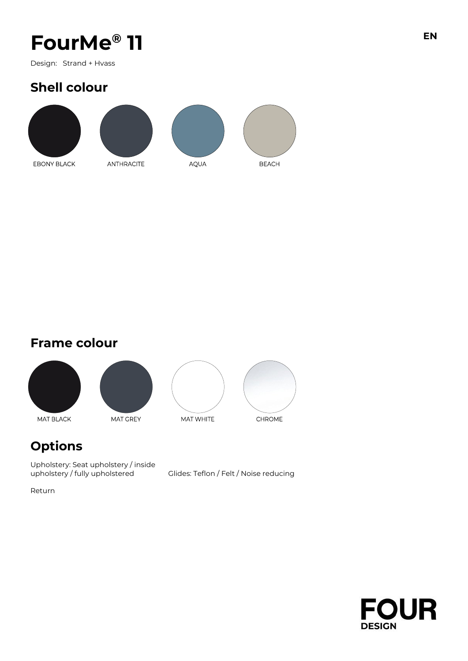# FourMe<sup>®</sup> 11

Design: Strand + Hvass

### **Shell colour**



**Frame colour**



### **Options**

Upholstery: Seat upholstery / inside upholstery / fully upholstered

Glides: Teflon / Felt / Noise reducing

Return



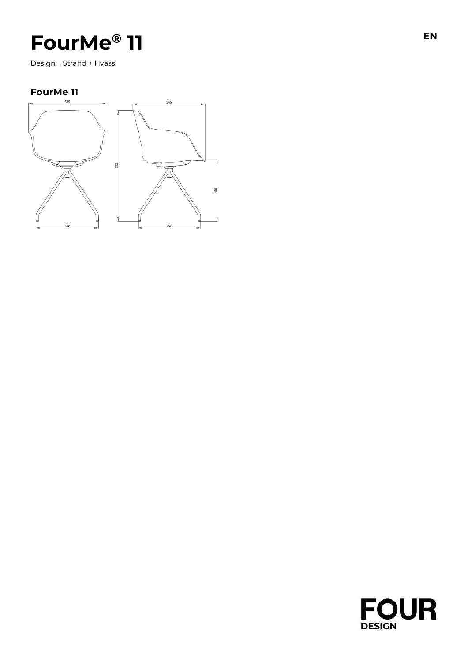## FourMe® 11

Design: Strand + Hvass

#### **FourMe 11**